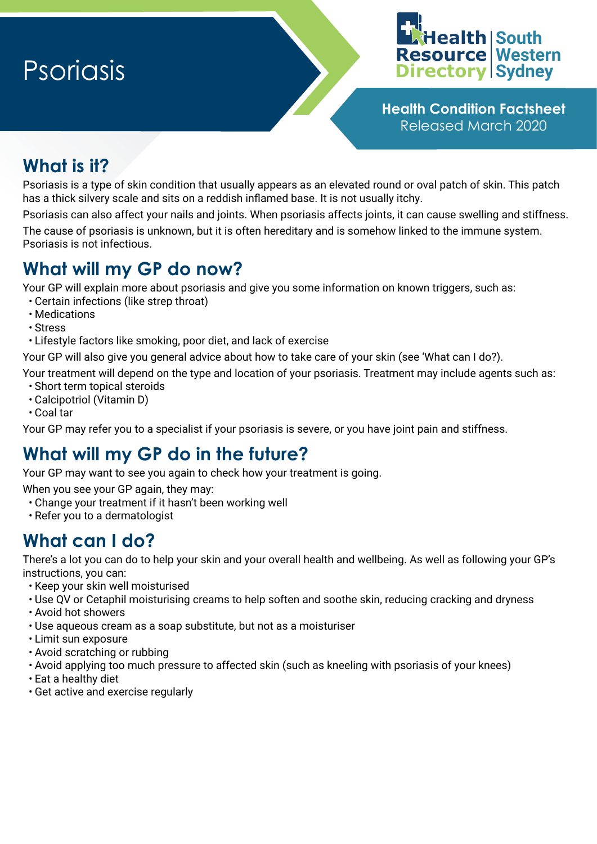# Psoriasis



**Health Condition Factsheet** Released March 2020

## **What is it?**

Psoriasis is a type of skin condition that usually appears as an elevated round or oval patch of skin. This patch has a thick silvery scale and sits on a reddish inflamed base. It is not usually itchy.

Psoriasis can also affect your nails and joints. When psoriasis affects joints, it can cause swelling and stiffness. The cause of psoriasis is unknown, but it is often hereditary and is somehow linked to the immune system. Psoriasis is not infectious.

### **What will my GP do now?**

Your GP will explain more about psoriasis and give you some information on known triggers, such as:

- Certain infections (like strep throat)
- Medications
- Stress
- Lifestyle factors like smoking, poor diet, and lack of exercise

Your GP will also give you general advice about how to take care of your skin (see 'What can I do?).

Your treatment will depend on the type and location of your psoriasis. Treatment may include agents such as: • Short term topical steroids

- Calcipotriol (Vitamin D)
- Coal tar

Your GP may refer you to a specialist if your psoriasis is severe, or you have joint pain and stiffness.

## **What will my GP do in the future?**

Your GP may want to see you again to check how your treatment is going.

When you see your GP again, they may:

- Change your treatment if it hasn't been working well
- Refer you to a dermatologist

#### **What can I do?**

There's a lot you can do to help your skin and your overall health and wellbeing. As well as following your GP's instructions, you can:

- Keep your skin well moisturised
- Use QV or Cetaphil moisturising creams to help soften and soothe skin, reducing cracking and dryness
- Avoid hot showers
- Use aqueous cream as a soap substitute, but not as a moisturiser
- Limit sun exposure
- Avoid scratching or rubbing
- Avoid applying too much pressure to affected skin (such as kneeling with psoriasis of your knees)
- Eat a healthy diet
- Get active and exercise regularly